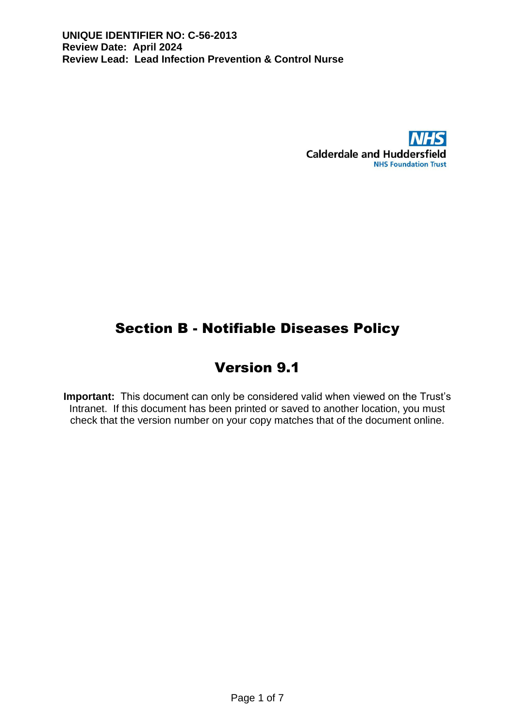

# Section B - Notifiable Diseases Policy

# Version 9.1

**Important:** This document can only be considered valid when viewed on the Trust's Intranet. If this document has been printed or saved to another location, you must check that the version number on your copy matches that of the document online.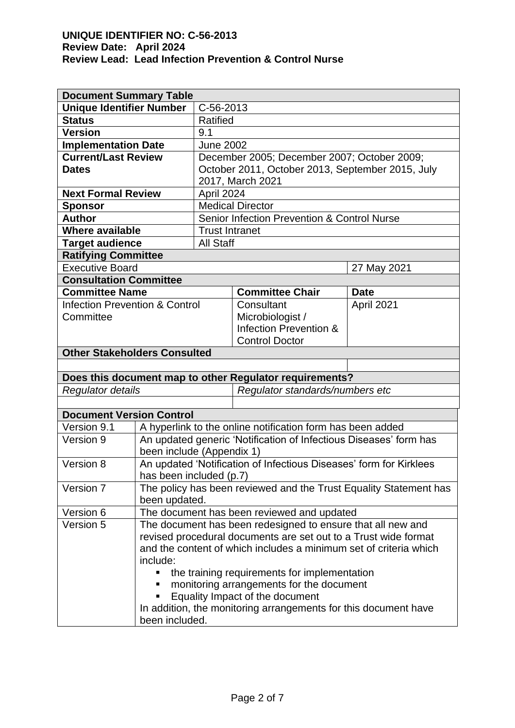| <b>Document Summary Table</b>             |                                                                                               |                                                                                                           |                                                                   |             |  |
|-------------------------------------------|-----------------------------------------------------------------------------------------------|-----------------------------------------------------------------------------------------------------------|-------------------------------------------------------------------|-------------|--|
| <b>Unique Identifier Number</b>           |                                                                                               | C-56-2013                                                                                                 |                                                                   |             |  |
| <b>Status</b>                             |                                                                                               | Ratified                                                                                                  |                                                                   |             |  |
| <b>Version</b>                            |                                                                                               | 9.1                                                                                                       |                                                                   |             |  |
| <b>Implementation Date</b>                |                                                                                               | <b>June 2002</b>                                                                                          |                                                                   |             |  |
| <b>Current/Last Review</b>                |                                                                                               |                                                                                                           | December 2005; December 2007; October 2009;                       |             |  |
| <b>Dates</b>                              |                                                                                               | October 2011, October 2013, September 2015, July                                                          |                                                                   |             |  |
|                                           |                                                                                               | 2017, March 2021                                                                                          |                                                                   |             |  |
| <b>Next Formal Review</b>                 |                                                                                               | April 2024                                                                                                |                                                                   |             |  |
| <b>Sponsor</b>                            |                                                                                               | <b>Medical Director</b>                                                                                   |                                                                   |             |  |
| <b>Author</b>                             |                                                                                               | Senior Infection Prevention & Control Nurse                                                               |                                                                   |             |  |
| <b>Where available</b>                    |                                                                                               | <b>Trust Intranet</b>                                                                                     |                                                                   |             |  |
| <b>Target audience</b>                    |                                                                                               | <b>All Staff</b>                                                                                          |                                                                   |             |  |
| <b>Ratifying Committee</b>                |                                                                                               |                                                                                                           |                                                                   |             |  |
| <b>Executive Board</b>                    |                                                                                               |                                                                                                           |                                                                   | 27 May 2021 |  |
| <b>Consultation Committee</b>             |                                                                                               |                                                                                                           |                                                                   |             |  |
| <b>Committee Name</b>                     |                                                                                               |                                                                                                           | <b>Committee Chair</b>                                            | <b>Date</b> |  |
| <b>Infection Prevention &amp; Control</b> |                                                                                               |                                                                                                           | Consultant                                                        | April 2021  |  |
| Committee                                 |                                                                                               |                                                                                                           | Microbiologist /                                                  |             |  |
|                                           |                                                                                               |                                                                                                           | Infection Prevention &                                            |             |  |
|                                           |                                                                                               |                                                                                                           | <b>Control Doctor</b>                                             |             |  |
| <b>Other Stakeholders Consulted</b>       |                                                                                               |                                                                                                           |                                                                   |             |  |
|                                           |                                                                                               |                                                                                                           |                                                                   |             |  |
|                                           |                                                                                               |                                                                                                           | Does this document map to other Regulator requirements?           |             |  |
| Regulator details                         |                                                                                               |                                                                                                           | Regulator standards/numbers etc                                   |             |  |
|                                           |                                                                                               |                                                                                                           |                                                                   |             |  |
| <b>Document Version Control</b>           |                                                                                               |                                                                                                           |                                                                   |             |  |
| Version 9.1                               |                                                                                               | A hyperlink to the online notification form has been added                                                |                                                                   |             |  |
| Version 9                                 | An updated generic 'Notification of Infectious Diseases' form has                             |                                                                                                           |                                                                   |             |  |
|                                           | been include (Appendix 1)                                                                     |                                                                                                           |                                                                   |             |  |
| Version 8                                 | An updated 'Notification of Infectious Diseases' form for Kirklees<br>has been included (p.7) |                                                                                                           |                                                                   |             |  |
|                                           |                                                                                               |                                                                                                           |                                                                   |             |  |
| Version 7                                 |                                                                                               |                                                                                                           | The policy has been reviewed and the Trust Equality Statement has |             |  |
|                                           | been updated.                                                                                 |                                                                                                           |                                                                   |             |  |
| Version 6<br>Version 5                    |                                                                                               | The document has been reviewed and updated<br>The document has been redesigned to ensure that all new and |                                                                   |             |  |
|                                           |                                                                                               |                                                                                                           |                                                                   |             |  |
|                                           | revised procedural documents are set out to a Trust wide format                               |                                                                                                           |                                                                   |             |  |
|                                           | and the content of which includes a minimum set of criteria which                             |                                                                                                           |                                                                   |             |  |
|                                           | include:                                                                                      |                                                                                                           |                                                                   |             |  |
|                                           | the training requirements for implementation<br>monitoring arrangements for the document      |                                                                                                           |                                                                   |             |  |
|                                           | Equality Impact of the document                                                               |                                                                                                           |                                                                   |             |  |
|                                           |                                                                                               |                                                                                                           | In addition, the monitoring arrangements for this document have   |             |  |
|                                           | been included.                                                                                |                                                                                                           |                                                                   |             |  |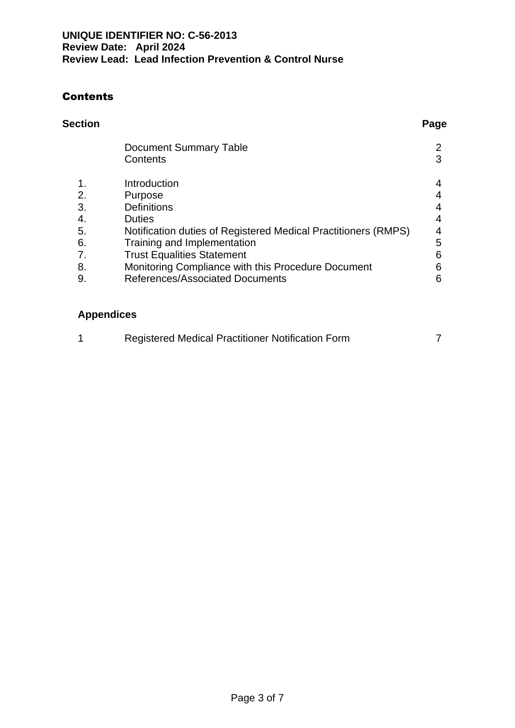## **Contents**

# **Section Page**

|    | <b>Document Summary Table</b>                                  |   |
|----|----------------------------------------------------------------|---|
|    | Contents                                                       | 3 |
| 1. | Introduction                                                   | 4 |
| 2. | Purpose                                                        | 4 |
| 3. | <b>Definitions</b>                                             | 4 |
| 4. | <b>Duties</b>                                                  | 4 |
| 5. | Notification duties of Registered Medical Practitioners (RMPS) | 4 |
| 6. | Training and Implementation                                    | 5 |
| 7. | <b>Trust Equalities Statement</b>                              | 6 |
| 8. | Monitoring Compliance with this Procedure Document             | 6 |
| 9. | References/Associated Documents                                | 6 |
|    |                                                                |   |

## **Appendices**

| Registered Medical Practitioner Notification Form |  |
|---------------------------------------------------|--|
|                                                   |  |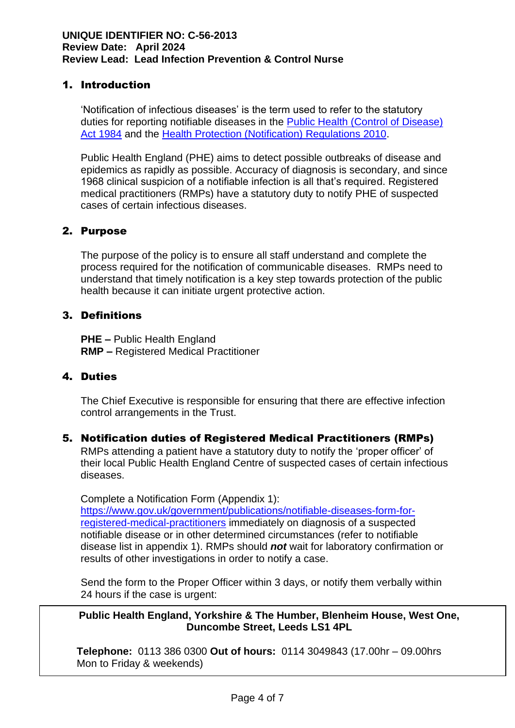#### 1. Introduction

'Notification of infectious diseases' is the term used to refer to the statutory duties for reporting notifiable diseases in the [Public Health \(Control of Disease\)](http://www.legislation.gov.uk/ukpga/1984/22)  [Act 1984](http://www.legislation.gov.uk/ukpga/1984/22) and the [Health Protection \(Notification\) Regulations 2010.](http://www.legislation.gov.uk/uksi/2010/659/contents/made)

Public Health England (PHE) aims to detect possible outbreaks of disease and epidemics as rapidly as possible. Accuracy of diagnosis is secondary, and since 1968 clinical suspicion of a notifiable infection is all that's required. Registered medical practitioners (RMPs) have a statutory duty to notify PHE of suspected cases of certain infectious diseases.

#### 2. Purpose

The purpose of the policy is to ensure all staff understand and complete the process required for the notification of communicable diseases. RMPs need to understand that timely notification is a key step towards protection of the public health because it can initiate urgent protective action.

#### 3. Definitions

**PHE –** Public Health England **RMP –** Registered Medical Practitioner

#### 4. Duties

The Chief Executive is responsible for ensuring that there are effective infection control arrangements in the Trust.

#### 5. Notification duties of Registered Medical Practitioners (RMPs)

RMPs attending a patient have a statutory duty to notify the 'proper officer' of their local Public Health England Centre of suspected cases of certain infectious diseases.

Complete a Notification Form (Appendix 1): [https://www.gov.uk/government/publications/notifiable-diseases-form-for](https://www.gov.uk/government/publications/notifiable-diseases-form-for-registered-medical-practitioners)[registered-medical-practitioners](https://www.gov.uk/government/publications/notifiable-diseases-form-for-registered-medical-practitioners) immediately on diagnosis of a suspected notifiable disease or in other determined circumstances (refer to notifiable disease list in appendix 1). RMPs should *not* wait for laboratory confirmation or results of other investigations in order to notify a case.

Send the form to the Proper Officer within 3 days, or notify them verbally within 24 hours if the case is urgent:

**Public Health England, Yorkshire & The Humber, Blenheim House, West One, Duncombe Street, Leeds LS1 4PL**

Notification should be recorded in the case notes, so other RMPs involved in **Telephone:** 0113 386 0300 **Out of hours:** 0114 3049843 (17.00hr – 09.00hrs Mon to Friday & weekends)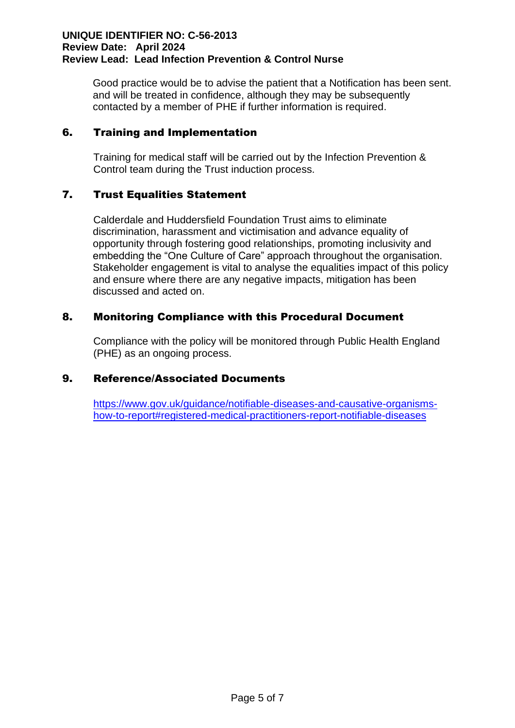Good practice would be to advise the patient that a Notification has been sent. and will be treated in confidence, although they may be subsequently contacted by a member of PHE if further information is required.

#### 6. Training and Implementation

Training for medical staff will be carried out by the Infection Prevention & Control team during the Trust induction process.

#### 7. Trust Equalities Statement

Calderdale and Huddersfield Foundation Trust aims to eliminate discrimination, harassment and victimisation and advance equality of opportunity through fostering good relationships, promoting inclusivity and embedding the "One Culture of Care" approach throughout the organisation. Stakeholder engagement is vital to analyse the equalities impact of this policy and ensure where there are any negative impacts, mitigation has been discussed and acted on.

#### 8. Monitoring Compliance with this Procedural Document

Compliance with the policy will be monitored through Public Health England (PHE) as an ongoing process.

### 9. Reference/Associated Documents

[https://www.gov.uk/guidance/notifiable-diseases-and-causative-organisms](https://www.gov.uk/guidance/notifiable-diseases-and-causative-organisms-how-to-report#registered-medical-practitioners-report-notifiable-diseases)[how-to-report#registered-medical-practitioners-report-notifiable-diseases](https://www.gov.uk/guidance/notifiable-diseases-and-causative-organisms-how-to-report#registered-medical-practitioners-report-notifiable-diseases)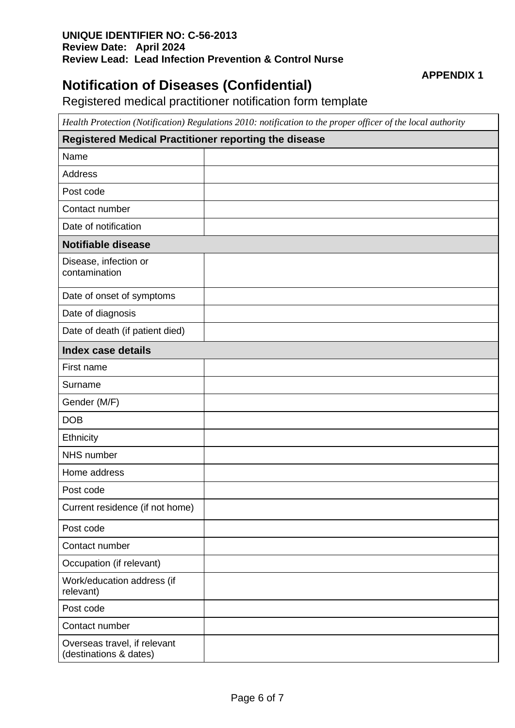## **Notification of Diseases (Confidential)**

#### **APPENDIX 1**

Registered medical practitioner notification form template

*Health Protection (Notification) Regulations 2010: notification to the proper officer of the local authority*

| Registered Medical Practitioner reporting the disease  |  |  |  |  |
|--------------------------------------------------------|--|--|--|--|
| Name                                                   |  |  |  |  |
| Address                                                |  |  |  |  |
| Post code                                              |  |  |  |  |
| Contact number                                         |  |  |  |  |
| Date of notification                                   |  |  |  |  |
| <b>Notifiable disease</b>                              |  |  |  |  |
| Disease, infection or<br>contamination                 |  |  |  |  |
| Date of onset of symptoms                              |  |  |  |  |
| Date of diagnosis                                      |  |  |  |  |
| Date of death (if patient died)                        |  |  |  |  |
| <b>Index case details</b>                              |  |  |  |  |
| First name                                             |  |  |  |  |
| Surname                                                |  |  |  |  |
| Gender (M/F)                                           |  |  |  |  |
| <b>DOB</b>                                             |  |  |  |  |
| Ethnicity                                              |  |  |  |  |
| NHS number                                             |  |  |  |  |
| Home address                                           |  |  |  |  |
| Post code                                              |  |  |  |  |
| Current residence (if not home)                        |  |  |  |  |
| Post code                                              |  |  |  |  |
| Contact number                                         |  |  |  |  |
| Occupation (if relevant)                               |  |  |  |  |
| Work/education address (if<br>relevant)                |  |  |  |  |
| Post code                                              |  |  |  |  |
| Contact number                                         |  |  |  |  |
| Overseas travel, if relevant<br>(destinations & dates) |  |  |  |  |